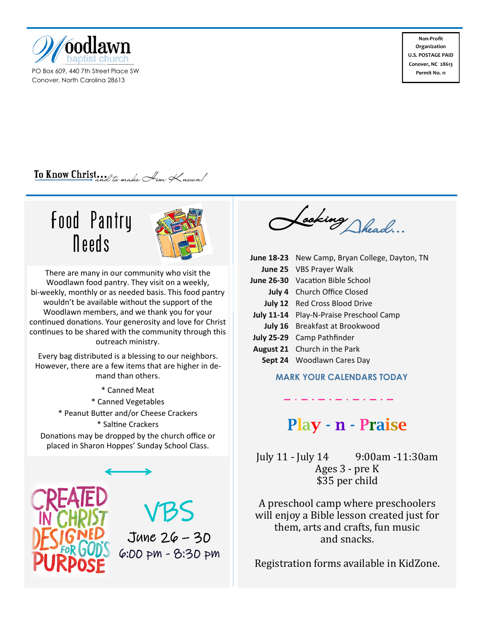

PO Box 609, 440 7th Street Place SW Conover, North Carolina 28613

**Non-Profit Organization U.S. POSTAGE PAID Conover, NC 28613 Permit No. 11**

### To Know Christand to make Aim Known!

## Food Pantry Needs



There are many in our community who visit the Woodlawn food pantry. They visit on a weekly, bi-weekly, monthly or as needed basis. This food pantry wouldn't be available without the support of the Woodlawn members, and we thank you for your continued donations. Your generosity and love for Christ continues to be shared with the community through this outreach ministry.

Every bag distributed is a blessing to our neighbors. However, there are a few items that are higher in demand than others.

\* Canned Meat \* Canned Vegetables \* Peanut Butter and/or Cheese Crackers \* Saltine Crackers Donations may be dropped by the church office or placed in Sharon Hoppes' Sunday School Class.



# VBS

June 26 – 30 6:00 pm - 8:30 pm

Looking Shead...

| June 18-23 New Camp, Bryan College, Dayton, TN |
|------------------------------------------------|
| June 25 VBS Prayer Walk                        |
| <b>June 26-30</b> Vacation Bible School        |
| <b>July 4</b> Church Office Closed             |
| <b>July 12</b> Red Cross Blood Drive           |
| July 11-14 Play-N-Praise Preschool Camp        |
| July 16 Breakfast at Brookwood                 |
| July 25-29 Camp Pathfinder                     |
| <b>August 21</b> Church in the Park            |
| Sept 24 Woodlawn Cares Day                     |

#### **MARK YOUR CALENDARS TODAY**

## Play - n - Praise

July 11 - July 14 9:00am -11:30am Ages 3 - pre K \$35 per child

A preschool camp where preschoolers will enjoy a Bible lesson created just for them, arts and crafts, fun music and snacks.

Registration forms available in KidZone.